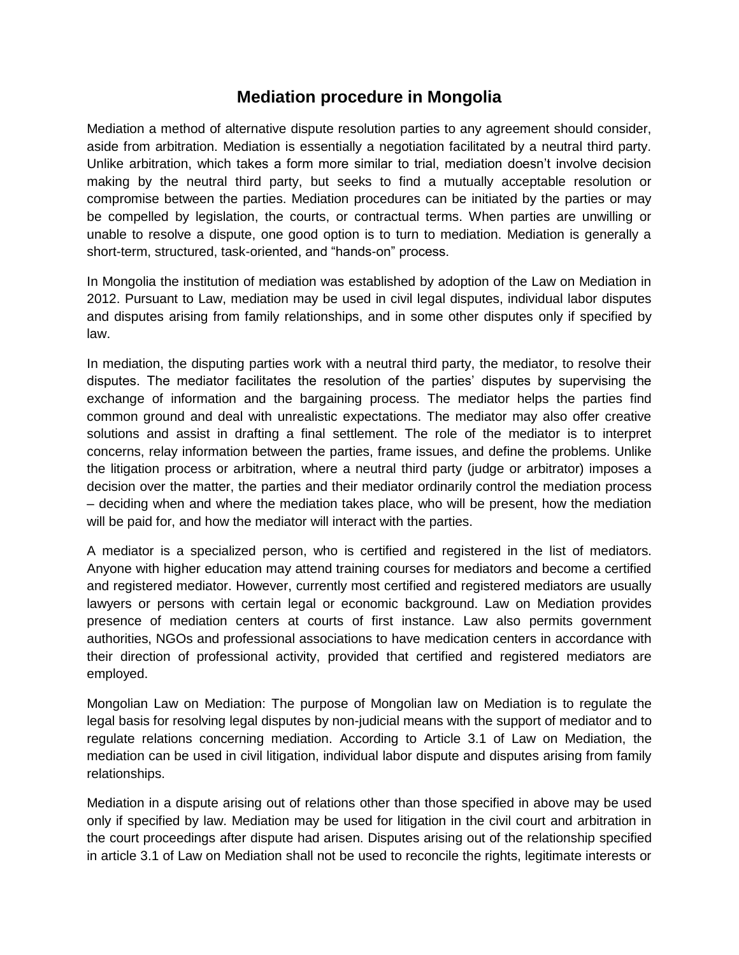## **Mediation procedure in Mongolia**

Mediation a method of alternative dispute resolution parties to any agreement should consider, aside from arbitration. Mediation is essentially a negotiation facilitated by a neutral third party. Unlike arbitration, which takes a form more similar to trial, mediation doesn't involve decision making by the neutral third party, but seeks to find a mutually acceptable resolution or compromise between the parties. Mediation procedures can be initiated by the parties or may be compelled by legislation, the courts, or contractual terms. When parties are unwilling or unable to resolve a dispute, one good option is to turn to mediation. Mediation is generally a short-term, structured, task-oriented, and "hands-on" process.

In Mongolia the institution of mediation was established by adoption of the Law on Mediation in 2012. Pursuant to Law, mediation may be used in civil legal disputes, individual labor disputes and disputes arising from family relationships, and in some other disputes only if specified by law.

In mediation, the disputing parties work with a neutral third party, the mediator, to resolve their disputes. The mediator facilitates the resolution of the parties' disputes by supervising the exchange of information and the bargaining process. The mediator helps the parties find common ground and deal with unrealistic expectations. The mediator may also offer creative solutions and assist in drafting a final settlement. The role of the mediator is to interpret concerns, relay information between the parties, frame issues, and define the problems. Unlike the litigation process or arbitration, where a neutral third party (judge or arbitrator) imposes a decision over the matter, the parties and their mediator ordinarily control the mediation process – deciding when and where the mediation takes place, who will be present, how the mediation will be paid for, and how the mediator will interact with the parties.

A mediator is a specialized person, who is certified and registered in the list of mediators. Anyone with higher education may attend training courses for mediators and become a certified and registered mediator. However, currently most certified and registered mediators are usually lawyers or persons with certain legal or economic background. Law on Mediation provides presence of mediation centers at courts of first instance. Law also permits government authorities, NGOs and professional associations to have medication centers in accordance with their direction of professional activity, provided that certified and registered mediators are employed.

Mongolian Law on Mediation: The purpose of Mongolian law on Mediation is to regulate the legal basis for resolving legal disputes by non-judicial means with the support of mediator and to regulate relations concerning mediation. According to Article 3.1 of Law on Mediation, the mediation can be used in civil litigation, individual labor dispute and disputes arising from family relationships.

Mediation in a dispute arising out of relations other than those specified in above may be used only if specified by law. Mediation may be used for litigation in the civil court and arbitration in the court proceedings after dispute had arisen. Disputes arising out of the relationship specified in article 3.1 of Law on Mediation shall not be used to reconcile the rights, legitimate interests or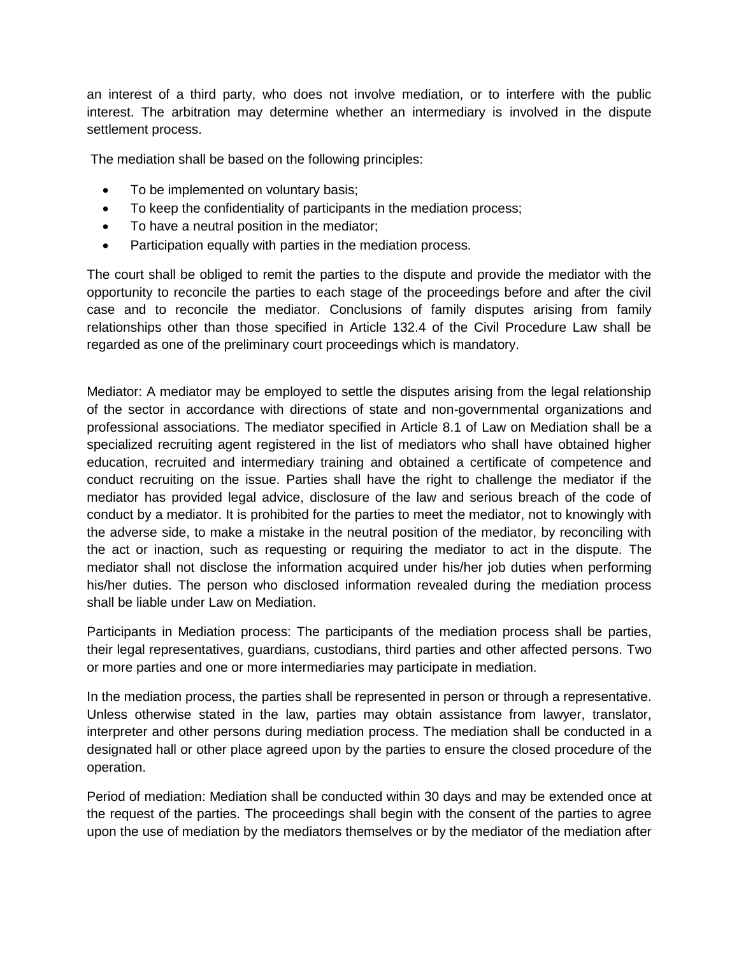an interest of a third party, who does not involve mediation, or to interfere with the public interest. The arbitration may determine whether an intermediary is involved in the dispute settlement process.

The mediation shall be based on the following principles:

- To be implemented on voluntary basis;
- To keep the confidentiality of participants in the mediation process;
- To have a neutral position in the mediator;
- Participation equally with parties in the mediation process.

The court shall be obliged to remit the parties to the dispute and provide the mediator with the opportunity to reconcile the parties to each stage of the proceedings before and after the civil case and to reconcile the mediator. Conclusions of family disputes arising from family relationships other than those specified in Article 132.4 of the Civil Procedure Law shall be regarded as one of the preliminary court proceedings which is mandatory.

Mediator: A mediator may be employed to settle the disputes arising from the legal relationship of the sector in accordance with directions of state and non-governmental organizations and professional associations. The mediator specified in Article 8.1 of Law on Mediation shall be a specialized recruiting agent registered in the list of mediators who shall have obtained higher education, recruited and intermediary training and obtained a certificate of competence and conduct recruiting on the issue. Parties shall have the right to challenge the mediator if the mediator has provided legal advice, disclosure of the law and serious breach of the code of conduct by a mediator. It is prohibited for the parties to meet the mediator, not to knowingly with the adverse side, to make a mistake in the neutral position of the mediator, by reconciling with the act or inaction, such as requesting or requiring the mediator to act in the dispute. The mediator shall not disclose the information acquired under his/her job duties when performing his/her duties. The person who disclosed information revealed during the mediation process shall be liable under Law on Mediation.

Participants in Mediation process: The participants of the mediation process shall be parties, their legal representatives, guardians, custodians, third parties and other affected persons. Two or more parties and one or more intermediaries may participate in mediation.

In the mediation process, the parties shall be represented in person or through a representative. Unless otherwise stated in the law, parties may obtain assistance from lawyer, translator, interpreter and other persons during mediation process. The mediation shall be conducted in a designated hall or other place agreed upon by the parties to ensure the closed procedure of the operation.

Period of mediation: Mediation shall be conducted within 30 days and may be extended once at the request of the parties. The proceedings shall begin with the consent of the parties to agree upon the use of mediation by the mediators themselves or by the mediator of the mediation after